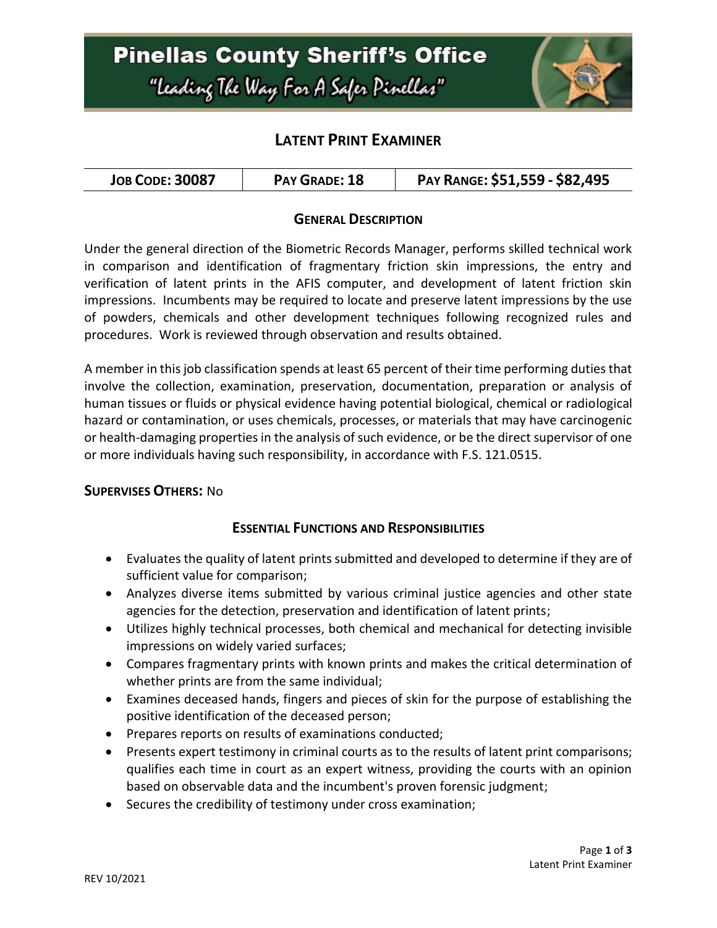# **Pinellas County Sheriff's Office** "Leading The Way For A Safer Pinellar"



### **LATENT PRINT EXAMINER**

| <b>JOB CODE: 30087</b><br>PAY GRADE: 18 | PAY RANGE: \$51,559 - \$82,495 |
|-----------------------------------------|--------------------------------|
|-----------------------------------------|--------------------------------|

#### **GENERAL DESCRIPTION**

Under the general direction of the Biometric Records Manager, performs skilled technical work in comparison and identification of fragmentary friction skin impressions, the entry and verification of latent prints in the AFIS computer, and development of latent friction skin impressions. Incumbents may be required to locate and preserve latent impressions by the use of powders, chemicals and other development techniques following recognized rules and procedures. Work is reviewed through observation and results obtained.

A member in this job classification spends at least 65 percent of their time performing duties that involve the collection, examination, preservation, documentation, preparation or analysis of human tissues or fluids or physical evidence having potential biological, chemical or radiological hazard or contamination, or uses chemicals, processes, or materials that may have carcinogenic or health-damaging properties in the analysis of such evidence, or be the direct supervisor of one or more individuals having such responsibility, in accordance with F.S. 121.0515.

#### **SUPERVISES OTHERS:** No

#### **ESSENTIAL FUNCTIONS AND RESPONSIBILITIES**

- Evaluates the quality of latent prints submitted and developed to determine if they are of sufficient value for comparison;
- Analyzes diverse items submitted by various criminal justice agencies and other state agencies for the detection, preservation and identification of latent prints;
- Utilizes highly technical processes, both chemical and mechanical for detecting invisible impressions on widely varied surfaces;
- Compares fragmentary prints with known prints and makes the critical determination of whether prints are from the same individual;
- Examines deceased hands, fingers and pieces of skin for the purpose of establishing the positive identification of the deceased person;
- Prepares reports on results of examinations conducted;
- Presents expert testimony in criminal courts as to the results of latent print comparisons; qualifies each time in court as an expert witness, providing the courts with an opinion based on observable data and the incumbent's proven forensic judgment;
- Secures the credibility of testimony under cross examination;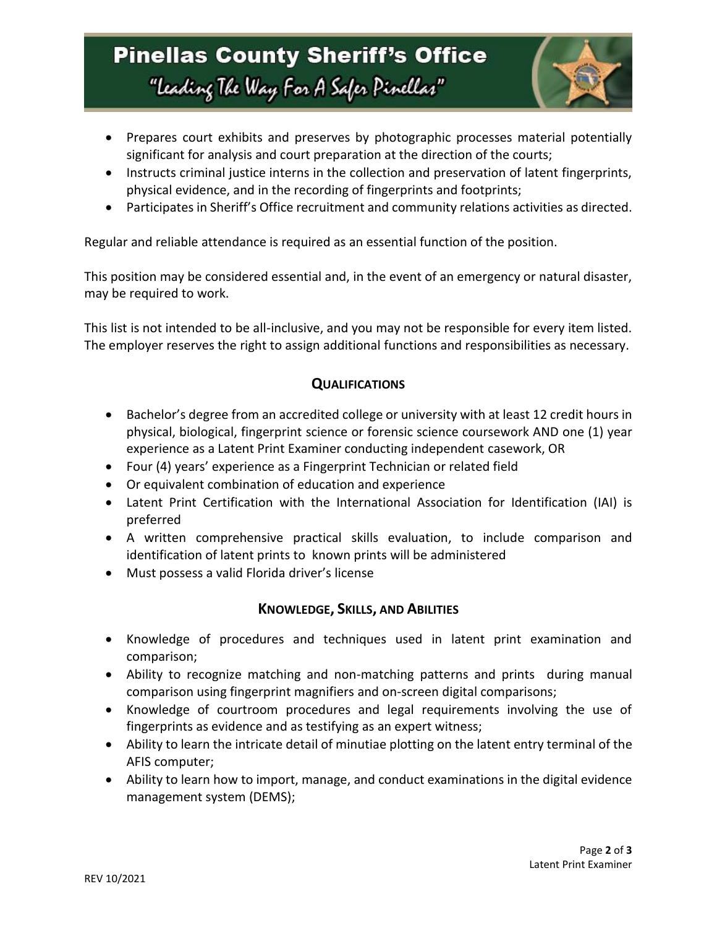# **Pinellas County Sheriff's Office** "Leading The Way For A Safer Pinellar"



- Prepares court exhibits and preserves by photographic processes material potentially significant for analysis and court preparation at the direction of the courts;
- Instructs criminal justice interns in the collection and preservation of latent fingerprints, physical evidence, and in the recording of fingerprints and footprints;
- Participates in Sheriff's Office recruitment and community relations activities as directed.

Regular and reliable attendance is required as an essential function of the position.

This position may be considered essential and, in the event of an emergency or natural disaster, may be required to work.

This list is not intended to be all-inclusive, and you may not be responsible for every item listed. The employer reserves the right to assign additional functions and responsibilities as necessary.

### **QUALIFICATIONS**

- Bachelor's degree from an accredited college or university with at least 12 credit hours in physical, biological, fingerprint science or forensic science coursework AND one (1) year experience as a Latent Print Examiner conducting independent casework, OR
- Four (4) years' experience as a Fingerprint Technician or related field
- Or equivalent combination of education and experience
- Latent Print Certification with the International Association for Identification (IAI) is preferred
- A written comprehensive practical skills evaluation, to include comparison and identification of latent prints to known prints will be administered
- Must possess a valid Florida driver's license

## **KNOWLEDGE, SKILLS, AND ABILITIES**

- Knowledge of procedures and techniques used in latent print examination and comparison;
- Ability to recognize matching and non-matching patterns and prints during manual comparison using fingerprint magnifiers and on-screen digital comparisons;
- Knowledge of courtroom procedures and legal requirements involving the use of fingerprints as evidence and as testifying as an expert witness;
- Ability to learn the intricate detail of minutiae plotting on the latent entry terminal of the AFIS computer;
- Ability to learn how to import, manage, and conduct examinations in the digital evidence management system (DEMS);